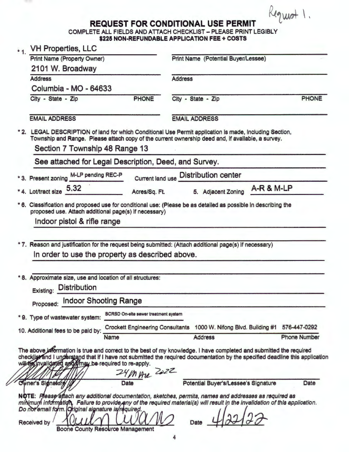Request 1.

## **REQUEST FOR CONDITIONAL USE PERMIT**

COMPLETE ALL FIELDS AND ATTACH CHECKLIST- PLEASE PRINT LEGIBLY **\$225 NON-REFUNDABLE APPLICATION FEE+ COSTS** 

| <b>Print Name (Property Owner)</b>                                                                                                                          | Print Name (Potential Buyer/Lessee)                                                                                                                                                                          |
|-------------------------------------------------------------------------------------------------------------------------------------------------------------|--------------------------------------------------------------------------------------------------------------------------------------------------------------------------------------------------------------|
| 2101 W. Broadway                                                                                                                                            |                                                                                                                                                                                                              |
| <b>Address</b>                                                                                                                                              | <b>Address</b>                                                                                                                                                                                               |
| Columbia - MO - 64633                                                                                                                                       |                                                                                                                                                                                                              |
| City - State - Zip<br><b>PHONE</b>                                                                                                                          | City - State - Zip<br><b>PHONE</b>                                                                                                                                                                           |
| <b>EMAIL ADDRESS</b>                                                                                                                                        | <b>EMAIL ADDRESS</b>                                                                                                                                                                                         |
|                                                                                                                                                             | * 2. LEGAL DESCRIPTION of land for which Conditional Use Permit application is made, including Section,<br>Township and Range. Please attach copy of the current ownership deed and, if available, a survey. |
| Section 7 Township 48 Range 13                                                                                                                              |                                                                                                                                                                                                              |
| See attached for Legal Description, Deed, and Survey.                                                                                                       |                                                                                                                                                                                                              |
| *3. Present zoning M-LP pending REC-P                                                                                                                       | Current land use Distribution center                                                                                                                                                                         |
| *4. Lot/tract size 5.32                                                                                                                                     | A-R & M-LP<br>Acres/Sq. Ft.<br>5. Adjacent Zoning                                                                                                                                                            |
| proposed use. Attach additional page(s) if necessary)                                                                                                       | * 6. Classification and proposed use for conditional use: (Please be as detailed as possible in describing the                                                                                               |
| Indoor pistol & rifle range                                                                                                                                 |                                                                                                                                                                                                              |
|                                                                                                                                                             |                                                                                                                                                                                                              |
| * 7. Reason and justification for the request being submitted: (Attach additional page(s) if necessary)<br>In order to use the property as described above. |                                                                                                                                                                                                              |
|                                                                                                                                                             |                                                                                                                                                                                                              |
| <b>Distribution</b><br>Existing:                                                                                                                            |                                                                                                                                                                                                              |
| . Indoor Shooting Range                                                                                                                                     |                                                                                                                                                                                                              |
| * 8. Approximate size, use and location of all structures:<br>Proposed:<br><b>BCRSD On-site sewer treatment system</b>                                      |                                                                                                                                                                                                              |
|                                                                                                                                                             | <b>Crockett Engineering Consultants</b><br>1000 W. Nifong Blvd. Building #1<br>576-447-0292                                                                                                                  |
| Name                                                                                                                                                        | <b>Phone Number</b><br><b>Address</b>                                                                                                                                                                        |
| will be invalidated and imay be required to re-apply.                                                                                                       | The above information is true and correct to the best of my knowledge. I have completed and submitted the required                                                                                           |
| *9. Type of wastewater system:<br>10. Additional fees to be paid by:<br>24MAR 2022<br>Owner's Signature<br>Date                                             | checklist and I understand that If I have not submitted the required documentation by the specified deadline this application<br>Potential Buyer's/Lessee's Signature<br>Date                                |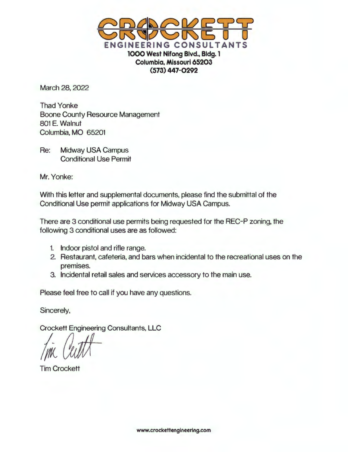

March 28, 2022

Thad Yonke Boone County Resource Management 801 E. Walnut Columbia, MO 65201

Re: Midway USA Campus Conditional Use Permit

Mr. Yonke:

With this letter and supplemental documents, please find the submittal of the Conditional Use permit applications for Midway USA Campus.

There are 3 conditional use permits being requested for the REC-P zoning, the following 3 conditional uses are as followed:

- 1. Indoor pistol and rifle range.
- 2. Restaurant, cafeteria, and bars when incidental to the recreational uses on the premises.
- 3. Incidental retail sales and services accessory to the main use.

Please feel free to call if you have any questions.

Sincerely,

Crockett Engineering Consultants, LLC

Inic Cent

Tim Crockett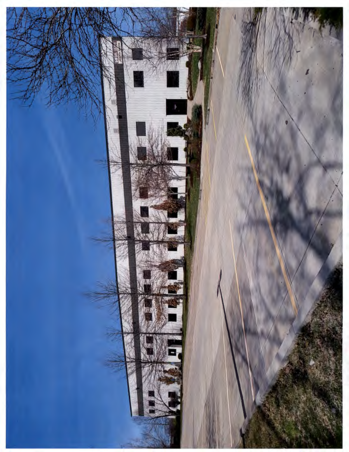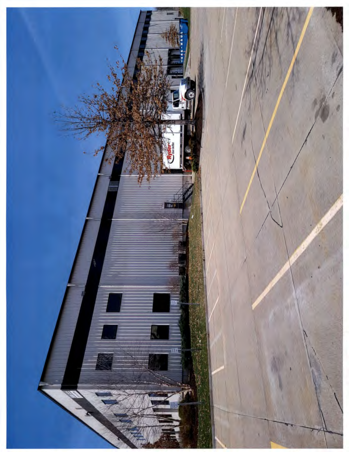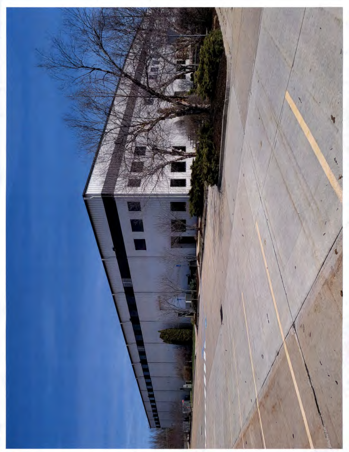